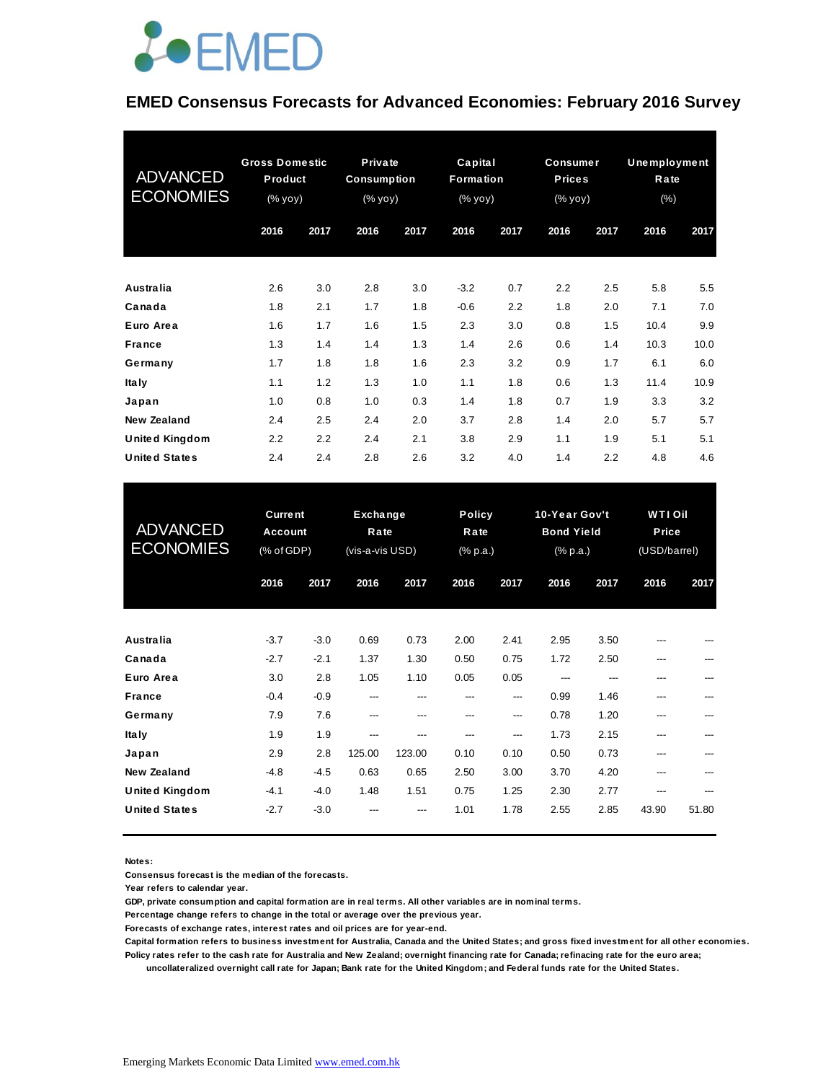

#### **EMED Consensus Forecasts for Advanced Economies: February 2016 Survey**

| <b>ADVANCED</b><br><b>ECONOMIES</b> | <b>Gross Domestic</b><br>Product<br>(% yoy) |      | Private<br><b>Consumption</b><br>(% yoy) |      | Capital<br>Formation<br>(% yoy) |      | <b>Consumer</b><br><b>Prices</b><br>(% yoy) |      | Unemployment<br>Rate<br>$(\% )$ |      |
|-------------------------------------|---------------------------------------------|------|------------------------------------------|------|---------------------------------|------|---------------------------------------------|------|---------------------------------|------|
|                                     | 2016                                        | 2017 | 2016                                     | 2017 | 2016                            | 2017 | 2016                                        | 2017 | 2016                            | 2017 |
| Australia                           | 2.6                                         | 3.0  | 2.8                                      | 3.0  | $-3.2$                          | 0.7  | 2.2                                         | 2.5  | 5.8                             | 5.5  |
| Canada                              | 1.8                                         | 2.1  | 1.7                                      | 1.8  | $-0.6$                          | 2.2  | 1.8                                         | 2.0  | 7.1                             | 7.0  |
| Euro Area                           | 1.6                                         | 1.7  | 1.6                                      | 1.5  | 2.3                             | 3.0  | 0.8                                         | 1.5  | 10.4                            | 9.9  |
| <b>France</b>                       | 1.3                                         | 1.4  | 1.4                                      | 1.3  | 1.4                             | 2.6  | 0.6                                         | 1.4  | 10.3                            | 10.0 |
| Germany                             | 1.7                                         | 1.8  | 1.8                                      | 1.6  | 2.3                             | 3.2  | 0.9                                         | 1.7  | 6.1                             | 6.0  |
| <b>Italy</b>                        | 1.1                                         | 1.2  | 1.3                                      | 1.0  | 1.1                             | 1.8  | 0.6                                         | 1.3  | 11.4                            | 10.9 |
| Japan                               | 1.0                                         | 0.8  | 1.0                                      | 0.3  | 1.4                             | 1.8  | 0.7                                         | 1.9  | 3.3                             | 3.2  |
| New Zealand                         | 2.4                                         | 2.5  | 2.4                                      | 2.0  | 3.7                             | 2.8  | 1.4                                         | 2.0  | 5.7                             | 5.7  |
| <b>United Kingdom</b>               | 2.2                                         | 2.2  | 2.4                                      | 2.1  | 3.8                             | 2.9  | 1.1                                         | 1.9  | 5.1                             | 5.1  |
| <b>United States</b>                | 2.4                                         | 2.4  | 2.8                                      | 2.6  | 3.2                             | 4.0  | 1.4                                         | 2.2  | 4.8                             | 4.6  |

| <b>United States</b>                          | 2.4                                     | 2.4              | 2.8                                 | 2.6           | 3.2                               | 4.0           | 1.4                                            | 2.2          | 4.8                                     | 4.6        |
|-----------------------------------------------|-----------------------------------------|------------------|-------------------------------------|---------------|-----------------------------------|---------------|------------------------------------------------|--------------|-----------------------------------------|------------|
| <b>ADVANCED</b><br><b>ECONOMIES</b>           | <b>Current</b><br>Account<br>(% of GDP) |                  | Exchange<br>Rate<br>(vis-a-vis USD) |               | <b>Policy</b><br>Rate<br>(% p.a.) |               | 10-Year Gov't<br><b>Bond Yield</b><br>(% p.a.) |              | <b>WTI Oil</b><br>Price<br>(USD/barrel) |            |
|                                               | 2016                                    | 2017             | 2016                                | 2017          | 2016                              | 2017          | 2016                                           | 2017         | 2016                                    | 2017       |
| Australia                                     | $-3.7$                                  | $-3.0$           | 0.69                                | 0.73          | 2.00                              | 2.41          | 2.95                                           | 3.50         |                                         |            |
| Canada<br>Euro Area                           | $-2.7$<br>3.0                           | $-2.1$<br>2.8    | 1.37<br>1.05                        | 1.30<br>1.10  | 0.50<br>0.05                      | 0.75<br>0.05  | 1.72<br>---                                    | 2.50<br>---  | ---<br>---                              | ---        |
| <b>France</b><br>Germany                      | $-0.4$<br>7.9                           | $-0.9$<br>7.6    | ---<br>---                          | $---$<br>---  | ---<br>---                        | ---<br>$---$  | 0.99<br>0.78                                   | 1.46<br>1.20 | ---<br>---                              | ---<br>--- |
| <b>Italy</b><br>Japan                         | 1.9<br>2.9                              | 1.9<br>2.8       | ---<br>125.00                       | ---<br>123.00 | ---<br>0.10                       | $---$<br>0.10 | 1.73<br>0.50                                   | 2.15<br>0.73 | ---<br>---                              | ---        |
| <b>New Zealand</b>                            | $-4.8$                                  | $-4.5$           | 0.63                                | 0.65          | 2.50                              | 3.00          | 3.70                                           | 4.20         |                                         |            |
| <b>United Kingdom</b><br><b>United States</b> | $-4.1$<br>$-2.7$                        | $-4.0$<br>$-3.0$ | 1.48                                | 1.51          | 0.75<br>1.01                      | 1.25<br>1.78  | 2.30<br>2.55                                   | 2.77<br>2.85 | ---<br>43.90                            | 51.80      |

**Notes:** 

**Consensus forecast is the median of the forecasts.**

**Year refers to calendar year.**

**GDP, private consumption and capital formation are in real terms. All other variables are in nominal terms.**

**Percentage change refers to change in the total or average over the previous year.**

**Forecasts of exchange rates, interest rates and oil prices are for year-end.**

**Capital formation refers to business investment for Australia, Canada and the United States; and gross fixed investment for all other economies. Policy rates refer to the cash rate for Australia and New Zealand; overnight financing rate for Canada; refinacing rate for the euro area;** 

 **uncollateralized overnight call rate for Japan; Bank rate for the United Kingdom; and Federal funds rate for the United States.**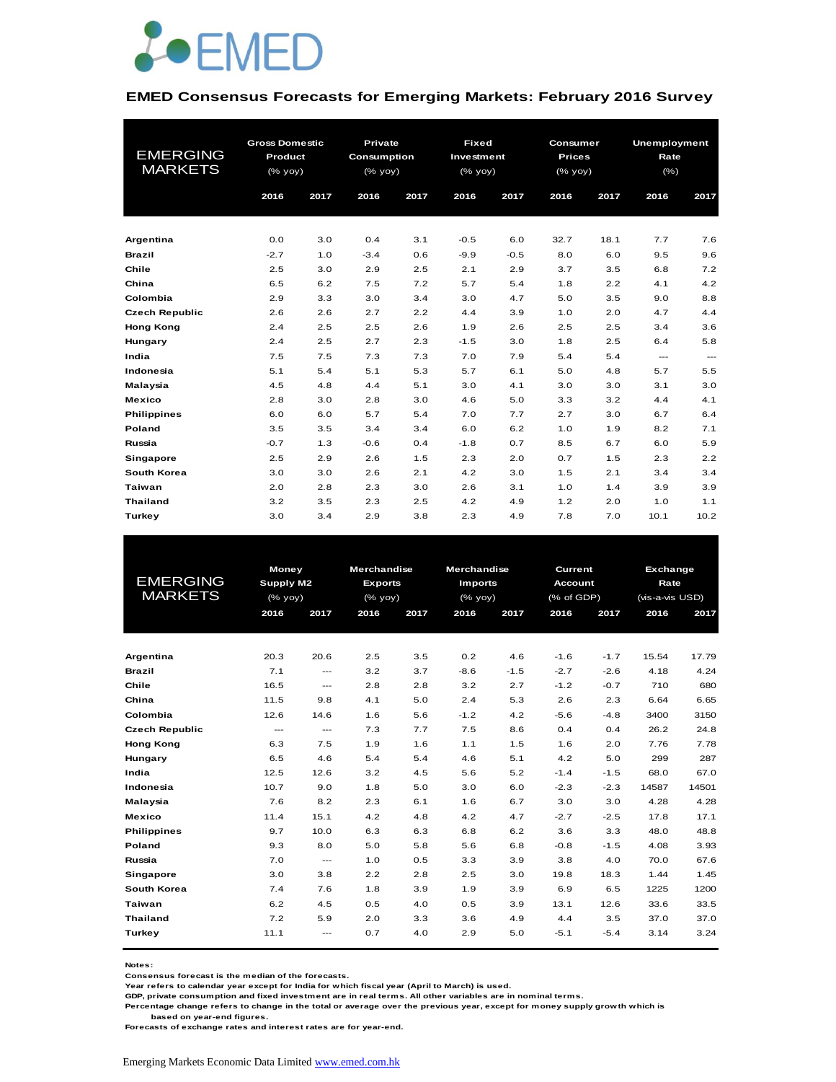

#### **EMED Consensus Forecasts for Emerging Markets: February 2016 Survey**

|                       | <b>Gross Domestic</b> |      | Private      |      | <b>Fixed</b> |        | Consumer             |      | <b>Unemployment</b> |          |
|-----------------------|-----------------------|------|--------------|------|--------------|--------|----------------------|------|---------------------|----------|
| <b>EMERGING</b>       | Product               |      | Consumption  |      | Investment   |        | <b>Prices</b>        |      | Rate                |          |
| <b>MARKETS</b>        | (% yoy)               |      | $(%$ (% yoy) |      | (% yoy)      |        | $(%$ $\sqrt{6}$ yoy) |      | $(\% )$             |          |
|                       | 2016                  | 2017 | 2016         | 2017 | 2016         | 2017   | 2016                 | 2017 | 2016                | 2017     |
|                       |                       |      |              |      |              |        |                      |      |                     |          |
|                       |                       |      |              |      |              |        |                      |      |                     |          |
| Argentina             | 0.0                   | 3.0  | 0.4          | 3.1  | $-0.5$       | 6.0    | 32.7                 | 18.1 | 7.7                 | 7.6      |
| <b>Brazil</b>         | $-2.7$                | 1.0  | $-3.4$       | 0.6  | $-9.9$       | $-0.5$ | 8.0                  | 6.0  | 9.5                 | 9.6      |
| Chile                 | 2.5                   | 3.0  | 2.9          | 2.5  | 2.1          | 2.9    | 3.7                  | 3.5  | 6.8                 | 7.2      |
| China                 | 6.5                   | 6.2  | 7.5          | 7.2  | 5.7          | 5.4    | 1.8                  | 2.2  | 4.1                 | 4.2      |
| Colombia              | 2.9                   | 3.3  | 3.0          | 3.4  | 3.0          | 4.7    | 5.0                  | 3.5  | 9.0                 | 8.8      |
| <b>Czech Republic</b> | 2.6                   | 2.6  | 2.7          | 2.2  | 4.4          | 3.9    | 1.0                  | 2.0  | 4.7                 | 4.4      |
| <b>Hong Kong</b>      | 2.4                   | 2.5  | 2.5          | 2.6  | 1.9          | 2.6    | 2.5                  | 2.5  | 3.4                 | 3.6      |
| Hungary               | 2.4                   | 2.5  | 2.7          | 2.3  | $-1.5$       | 3.0    | 1.8                  | 2.5  | 6.4                 | 5.8      |
| India                 | 7.5                   | 7.5  | 7.3          | 7.3  | 7.0          | 7.9    | 5.4                  | 5.4  | ---                 | $\cdots$ |
| Indonesia             | 5.1                   | 5.4  | 5.1          | 5.3  | 5.7          | 6.1    | 5.0                  | 4.8  | 5.7                 | 5.5      |
| Malaysia              | 4.5                   | 4.8  | 4.4          | 5.1  | 3.0          | 4.1    | 3.0                  | 3.0  | 3.1                 | 3.0      |
| <b>Mexico</b>         | 2.8                   | 3.0  | 2.8          | 3.0  | 4.6          | 5.0    | 3.3                  | 3.2  | 4.4                 | 4.1      |
| <b>Philippines</b>    | 6.0                   | 6.0  | 5.7          | 5.4  | 7.0          | 7.7    | 2.7                  | 3.0  | 6.7                 | 6.4      |
| Poland                | 3.5                   | 3.5  | 3.4          | 3.4  | 6.0          | 6.2    | 1.0                  | 1.9  | 8.2                 | 7.1      |
| Russia                | $-0.7$                | 1.3  | $-0.6$       | 0.4  | $-1.8$       | 0.7    | 8.5                  | 6.7  | 6.0                 | 5.9      |
| Singapore             | 2.5                   | 2.9  | 2.6          | 1.5  | 2.3          | 2.0    | 0.7                  | 1.5  | 2.3                 | 2.2      |
| South Korea           | 3.0                   | 3.0  | 2.6          | 2.1  | 4.2          | 3.0    | 1.5                  | 2.1  | 3.4                 | 3.4      |
| Taiwan                | 2.0                   | 2.8  | 2.3          | 3.0  | 2.6          | 3.1    | 1.0                  | 1.4  | 3.9                 | 3.9      |
| <b>Thailand</b>       | 3.2                   | 3.5  | 2.3          | 2.5  | 4.2          | 4.9    | 1.2                  | 2.0  | 1.0                 | 1.1      |
| Turkey                | 3.0                   | 3.4  | 2.9          | 3.8  | 2.3          | 4.9    | 7.8                  | 7.0  | 10.1                | 10.2     |

|                                   | Money                |                          | <b>Merchandise</b> |      | <b>Merchandise</b><br>Current |        |                |        | Exchange        |       |
|-----------------------------------|----------------------|--------------------------|--------------------|------|-------------------------------|--------|----------------|--------|-----------------|-------|
| <b>EMERGING</b><br><b>MARKETS</b> | <b>Supply M2</b>     |                          | <b>Exports</b>     |      | <b>Imports</b>                |        | <b>Account</b> |        | Rate            |       |
|                                   | $(%$ $\mathsf{yoy})$ |                          | $(%$ (% yoy)       |      | $(%$ (% yoy)                  |        | (% of GDP)     |        | (vis-a-vis USD) |       |
|                                   | 2016                 | 2017                     | 2016               | 2017 | 2016                          | 2017   | 2016           | 2017   | 2016            | 2017  |
|                                   |                      |                          |                    |      |                               |        |                |        |                 |       |
|                                   |                      |                          |                    |      |                               |        |                |        |                 |       |
| Argentina                         | 20.3                 | 20.6                     | 2.5                | 3.5  | 0.2                           | 4.6    | $-1.6$         | $-1.7$ | 15.54           | 17.79 |
| <b>Brazil</b>                     | 7.1                  | $- - -$                  | 3.2                | 3.7  | $-8.6$                        | $-1.5$ | $-2.7$         | $-2.6$ | 4.18            | 4.24  |
| Chile                             | 16.5                 | $\hspace{0.05cm} \ldots$ | 2.8                | 2.8  | 3.2                           | 2.7    | $-1.2$         | $-0.7$ | 710             | 680   |
| China                             | 11.5                 | 9.8                      | 4.1                | 5.0  | 2.4                           | 5.3    | 2.6            | 2.3    | 6.64            | 6.65  |
| Colombia                          | 12.6                 | 14.6                     | 1.6                | 5.6  | $-1.2$                        | 4.2    | $-5.6$         | $-4.8$ | 3400            | 3150  |
| <b>Czech Republic</b>             | ---                  | $\hspace{0.05cm} \ldots$ | 7.3                | 7.7  | 7.5                           | 8.6    | 0.4            | 0.4    | 26.2            | 24.8  |
| <b>Hong Kong</b>                  | 6.3                  | 7.5                      | 1.9                | 1.6  | 1.1                           | 1.5    | 1.6            | 2.0    | 7.76            | 7.78  |
| Hungary                           | 6.5                  | 4.6                      | 5.4                | 5.4  | 4.6                           | 5.1    | 4.2            | 5.0    | 299             | 287   |
| India                             | 12.5                 | 12.6                     | 3.2                | 4.5  | 5.6                           | 5.2    | $-1.4$         | $-1.5$ | 68.0            | 67.0  |
| Indonesia                         | 10.7                 | 9.0                      | 1.8                | 5.0  | 3.0                           | 6.0    | $-2.3$         | $-2.3$ | 14587           | 14501 |
| Malaysia                          | 7.6                  | 8.2                      | 2.3                | 6.1  | 1.6                           | 6.7    | 3.0            | 3.0    | 4.28            | 4.28  |
| <b>Mexico</b>                     | 11.4                 | 15.1                     | 4.2                | 4.8  | 4.2                           | 4.7    | $-2.7$         | $-2.5$ | 17.8            | 17.1  |
| <b>Philippines</b>                | 9.7                  | 10.0                     | 6.3                | 6.3  | 6.8                           | 6.2    | 3.6            | 3.3    | 48.0            | 48.8  |
| Poland                            | 9.3                  | 8.0                      | 5.0                | 5.8  | 5.6                           | 6.8    | $-0.8$         | $-1.5$ | 4.08            | 3.93  |
| Russia                            | 7.0                  | $\qquad \qquad \cdots$   | 1.0                | 0.5  | 3.3                           | 3.9    | 3.8            | 4.0    | 70.0            | 67.6  |
| <b>Singapore</b>                  | 3.0                  | 3.8                      | 2.2                | 2.8  | 2.5                           | 3.0    | 19.8           | 18.3   | 1.44            | 1.45  |
| South Korea                       | 7.4                  | 7.6                      | 1.8                | 3.9  | 1.9                           | 3.9    | 6.9            | 6.5    | 1225            | 1200  |
| Taiwan                            | 6.2                  | 4.5                      | 0.5                | 4.0  | 0.5                           | 3.9    | 13.1           | 12.6   | 33.6            | 33.5  |
| <b>Thailand</b>                   | 7.2                  | 5.9                      | 2.0                | 3.3  | 3.6                           | 4.9    | 4.4            | 3.5    | 37.0            | 37.0  |
| Turkey                            | 11.1                 | ---                      | 0.7                | 4.0  | 2.9                           | 5.0    | $-5.1$         | $-5.4$ | 3.14            | 3.24  |
|                                   |                      |                          |                    |      |                               |        |                |        |                 |       |

**Notes:** 

**Consensus forecast is the median of the forecasts.**

**Year refers to calendar year except for India for which fiscal year (April to March) is used.**

**GDP, private consumption and fixed investment are in real terms. All other variables are in nominal terms.**

**Percentage change refers to change in the total or average over the previous year, except for money supply growth which is** 

 **based on year-end figures.**

**Forecasts of exchange rates and interest rates are for year-end.**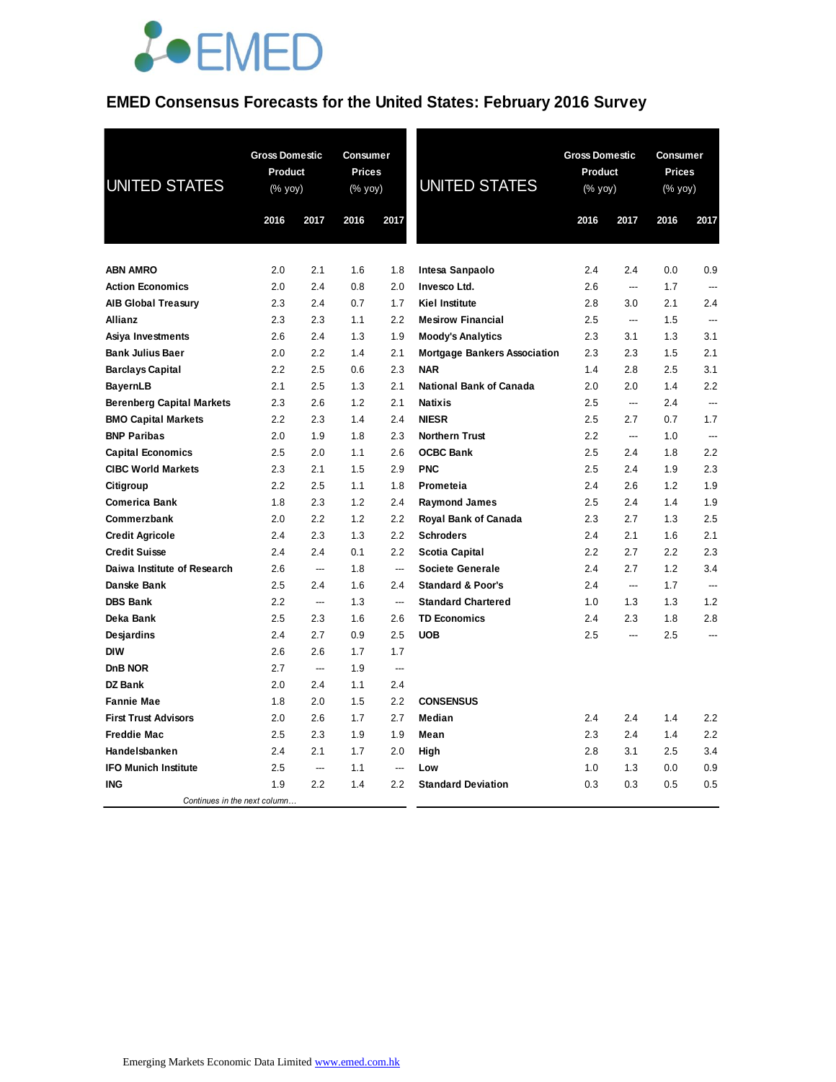

### **EMED Consensus Forecasts for the United States: February 2016 Survey**

| <b>UNITED STATES</b>             | <b>Gross Domestic</b><br>Product<br>(% yoy) |      | Consumer<br>Prices<br>(% yoy) |                  | <b>UNITED STATES</b>                | <b>Gross Domestic</b><br>Product<br>(% yoy) |                          | Consumer<br>Prices<br>(% yoy) |                          |
|----------------------------------|---------------------------------------------|------|-------------------------------|------------------|-------------------------------------|---------------------------------------------|--------------------------|-------------------------------|--------------------------|
|                                  | 2016                                        | 2017 | 2016                          | 2017             |                                     | 2016                                        | 2017                     | 2016                          | 2017                     |
| <b>ABN AMRO</b>                  | 2.0                                         | 2.1  | 1.6                           | 1.8              | Intesa Sanpaolo                     | 2.4                                         | 2.4                      | 0.0                           | 0.9                      |
| <b>Action Economics</b>          | 2.0                                         | 2.4  | 0.8                           | 2.0              | Invesco Ltd.                        | 2.6                                         | $\overline{\phantom{a}}$ | 1.7                           | $\overline{\phantom{a}}$ |
| <b>AIB Global Treasury</b>       | 2.3                                         | 2.4  | 0.7                           | 1.7              | <b>Kiel Institute</b>               | 2.8                                         | 3.0                      | 2.1                           | 2.4                      |
| Allianz                          | 2.3                                         | 2.3  | 1.1                           | 2.2              | <b>Mesirow Financial</b>            | 2.5                                         | ---                      | 1.5                           | ---                      |
| Asiya Investments                | 2.6                                         | 2.4  | 1.3                           | 1.9              | <b>Moody's Analytics</b>            | 2.3                                         | 3.1                      | 1.3                           | 3.1                      |
| <b>Bank Julius Baer</b>          | 2.0                                         | 2.2  | 1.4                           | 2.1              | <b>Mortgage Bankers Association</b> | 2.3                                         | 2.3                      | 1.5                           | 2.1                      |
| <b>Barclays Capital</b>          | 2.2                                         | 2.5  | 0.6                           | 2.3              | <b>NAR</b>                          | 1.4                                         | 2.8                      | 2.5                           | 3.1                      |
| <b>BayernLB</b>                  | 2.1                                         | 2.5  | 1.3                           | 2.1              | <b>National Bank of Canada</b>      | 2.0                                         | 2.0                      | 1.4                           | 2.2                      |
| <b>Berenberg Capital Markets</b> | 2.3                                         | 2.6  | 1.2                           | 2.1              | <b>Natixis</b>                      | 2.5                                         | $\overline{a}$           | 2.4                           | ---                      |
| <b>BMO Capital Markets</b>       | 2.2                                         | 2.3  | 1.4                           | 2.4              | <b>NIESR</b>                        | 2.5                                         | 2.7                      | 0.7                           | 1.7                      |
| <b>BNP Paribas</b>               | 2.0                                         | 1.9  | 1.8                           | 2.3              | <b>Northern Trust</b>               | 2.2                                         | ---                      | 1.0                           | ---                      |
| <b>Capital Economics</b>         | 2.5                                         | 2.0  | 1.1                           | 2.6              | <b>OCBC Bank</b>                    | 2.5                                         | 2.4                      | 1.8                           | 2.2                      |
| <b>CIBC World Markets</b>        | 2.3                                         | 2.1  | 1.5                           | 2.9              | <b>PNC</b>                          | 2.5                                         | 2.4                      | 1.9                           | 2.3                      |
| Citigroup                        | 2.2                                         | 2.5  | 1.1                           | 1.8              | Prometeia                           | 2.4                                         | 2.6                      | 1.2                           | 1.9                      |
| <b>Comerica Bank</b>             | 1.8                                         | 2.3  | 1.2                           | 2.4              | <b>Raymond James</b>                | 2.5                                         | 2.4                      | 1.4                           | 1.9                      |
| Commerzbank                      | 2.0                                         | 2.2  | 1.2                           | $2.2\phantom{0}$ | Royal Bank of Canada                | 2.3                                         | 2.7                      | 1.3                           | 2.5                      |
| <b>Credit Agricole</b>           | 2.4                                         | 2.3  | 1.3                           | 2.2              | <b>Schroders</b>                    | 2.4                                         | 2.1                      | 1.6                           | 2.1                      |
| <b>Credit Suisse</b>             | 2.4                                         | 2.4  | 0.1                           | 2.2              | Scotia Capital                      | 2.2                                         | 2.7                      | 2.2                           | 2.3                      |
| Daiwa Institute of Research      | 2.6                                         | ---  | 1.8                           | ---              | <b>Societe Generale</b>             | 2.4                                         | 2.7                      | 1.2                           | 3.4                      |
| Danske Bank                      | 2.5                                         | 2.4  | 1.6                           | 2.4              | <b>Standard &amp; Poor's</b>        | 2.4                                         | $\overline{\phantom{a}}$ | 1.7                           | $\overline{a}$           |
| <b>DBS Bank</b>                  | 2.2                                         | ---  | 1.3                           | ---              | <b>Standard Chartered</b>           | 1.0                                         | 1.3                      | 1.3                           | 1.2                      |
| Deka Bank                        | 2.5                                         | 2.3  | 1.6                           | 2.6              | <b>TD Economics</b>                 | 2.4                                         | 2.3                      | 1.8                           | 2.8                      |
| Desjardins                       | 2.4                                         | 2.7  | 0.9                           | 2.5              | <b>UOB</b>                          | 2.5                                         | ---                      | 2.5                           | ---                      |
| <b>DIW</b>                       | 2.6                                         | 2.6  | 1.7                           | 1.7              |                                     |                                             |                          |                               |                          |
| DnB NOR                          | 2.7                                         | ---  | 1.9                           | ---              |                                     |                                             |                          |                               |                          |
| <b>DZ Bank</b>                   | 2.0                                         | 2.4  | 1.1                           | 2.4              |                                     |                                             |                          |                               |                          |
| <b>Fannie Mae</b>                | 1.8                                         | 2.0  | 1.5                           | 2.2              | <b>CONSENSUS</b>                    |                                             |                          |                               |                          |
| <b>First Trust Advisors</b>      | 2.0                                         | 2.6  | 1.7                           | 2.7              | Median                              | 2.4                                         | 2.4                      | 1.4                           | 2.2                      |
| <b>Freddie Mac</b>               | 2.5                                         | 2.3  | 1.9                           | 1.9              | Mean                                | 2.3                                         | 2.4                      | 1.4                           | 2.2                      |
| Handelsbanken                    | 2.4                                         | 2.1  | 1.7                           | 2.0              | High                                | 2.8                                         | 3.1                      | 2.5                           | 3.4                      |
| <b>IFO Munich Institute</b>      | 2.5                                         | ---  | 1.1                           | ---              | Low                                 | 1.0                                         | 1.3                      | 0.0                           | 0.9                      |
| <b>ING</b>                       | 1.9                                         | 2.2  | 1.4                           | 2.2              | <b>Standard Deviation</b>           | 0.3                                         | 0.3                      | 0.5                           | 0.5                      |
| Continues in the next column     |                                             |      |                               |                  |                                     |                                             |                          |                               |                          |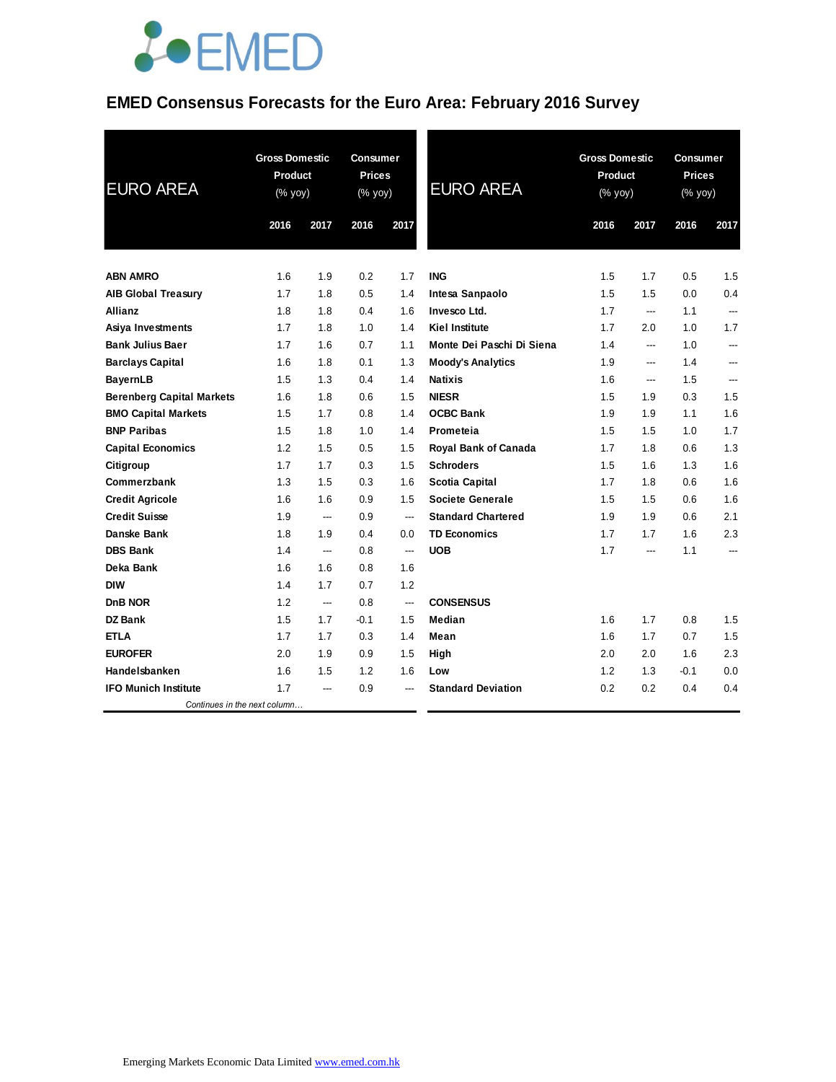# **JOEMED**

### **EMED Consensus Forecasts for the Euro Area: February 2016 Survey**

| <b>EURO AREA</b>                 | <b>Gross Domestic</b><br>Product<br>(% yoy) |                          | <b>Consumer</b><br><b>Prices</b><br>(% yoy) |      | <b>EURO AREA</b>            | <b>Gross Domestic</b><br>Product<br>(% yoy) |                | <b>Consumer</b><br><b>Prices</b><br>(% yoy) |                |
|----------------------------------|---------------------------------------------|--------------------------|---------------------------------------------|------|-----------------------------|---------------------------------------------|----------------|---------------------------------------------|----------------|
|                                  | 2016                                        | 2017                     | 2016                                        | 2017 |                             | 2016                                        | 2017           | 2016                                        | 2017           |
|                                  |                                             |                          |                                             |      |                             |                                             |                |                                             |                |
| <b>ABN AMRO</b>                  | 1.6                                         | 1.9                      | 0.2                                         | 1.7  | <b>ING</b>                  | 1.5                                         | 1.7            | 0.5                                         | 1.5            |
| <b>AIB Global Treasury</b>       | 1.7                                         | 1.8                      | 0.5                                         | 1.4  | Intesa Sanpaolo             | 1.5                                         | 1.5            | 0.0                                         | 0.4            |
| <b>Allianz</b>                   | 1.8                                         | 1.8                      | 0.4                                         | 1.6  | Invesco Ltd.                | 1.7                                         | $\overline{a}$ | 1.1                                         | $\overline{a}$ |
| Asiya Investments                | 1.7                                         | 1.8                      | 1.0                                         | 1.4  | <b>Kiel Institute</b>       | 1.7                                         | 2.0            | 1.0                                         | 1.7            |
| <b>Bank Julius Baer</b>          | 1.7                                         | 1.6                      | 0.7                                         | 1.1  | Monte Dei Paschi Di Siena   | 1.4                                         | ---            | 1.0                                         | $---$          |
| <b>Barclays Capital</b>          | 1.6                                         | 1.8                      | 0.1                                         | 1.3  | <b>Moody's Analytics</b>    | 1.9                                         | ---            | 1.4                                         | ---            |
| <b>BayernLB</b>                  | 1.5                                         | 1.3                      | 0.4                                         | 1.4  | <b>Natixis</b>              | 1.6                                         | ---            | 1.5                                         | ---            |
| <b>Berenberg Capital Markets</b> | 1.6                                         | 1.8                      | 0.6                                         | 1.5  | <b>NIESR</b>                | 1.5                                         | 1.9            | 0.3                                         | 1.5            |
| <b>BMO Capital Markets</b>       | 1.5                                         | 1.7                      | 0.8                                         | 1.4  | <b>OCBC Bank</b>            | 1.9                                         | 1.9            | 1.1                                         | 1.6            |
| <b>BNP Paribas</b>               | 1.5                                         | 1.8                      | 1.0                                         | 1.4  | Prometeia                   | 1.5                                         | 1.5            | 1.0                                         | 1.7            |
| <b>Capital Economics</b>         | 1.2                                         | 1.5                      | 0.5                                         | 1.5  | <b>Royal Bank of Canada</b> | 1.7                                         | 1.8            | 0.6                                         | 1.3            |
| Citigroup                        | 1.7                                         | 1.7                      | 0.3                                         | 1.5  | <b>Schroders</b>            | 1.5                                         | 1.6            | 1.3                                         | 1.6            |
| Commerzbank                      | 1.3                                         | 1.5                      | 0.3                                         | 1.6  | <b>Scotia Capital</b>       | 1.7                                         | 1.8            | 0.6                                         | 1.6            |
| <b>Credit Agricole</b>           | 1.6                                         | 1.6                      | 0.9                                         | 1.5  | <b>Societe Generale</b>     | 1.5                                         | 1.5            | 0.6                                         | 1.6            |
| <b>Credit Suisse</b>             | 1.9                                         | ---                      | 0.9                                         | ---  | <b>Standard Chartered</b>   | 1.9                                         | 1.9            | 0.6                                         | 2.1            |
| Danske Bank                      | 1.8                                         | 1.9                      | 0.4                                         | 0.0  | <b>TD Economics</b>         | 1.7                                         | 1.7            | 1.6                                         | 2.3            |
| <b>DBS Bank</b>                  | 1.4                                         | $\overline{a}$           | 0.8                                         | ---  | <b>UOB</b>                  | 1.7                                         | ---            | 1.1                                         | ---            |
| Deka Bank                        | 1.6                                         | 1.6                      | 0.8                                         | 1.6  |                             |                                             |                |                                             |                |
| <b>DIW</b>                       | 1.4                                         | 1.7                      | 0.7                                         | 1.2  |                             |                                             |                |                                             |                |
| DnB NOR                          | 1.2                                         | $\hspace{0.05cm} \ldots$ | 0.8                                         | ---  | <b>CONSENSUS</b>            |                                             |                |                                             |                |
| <b>DZ Bank</b>                   | 1.5                                         | 1.7                      | $-0.1$                                      | 1.5  | Median                      | 1.6                                         | 1.7            | 0.8                                         | 1.5            |
| <b>ETLA</b>                      | 1.7                                         | 1.7                      | 0.3                                         | 1.4  | Mean                        | 1.6                                         | 1.7            | 0.7                                         | 1.5            |
| <b>EUROFER</b>                   | 2.0                                         | 1.9                      | 0.9                                         | 1.5  | High                        | 2.0                                         | 2.0            | 1.6                                         | 2.3            |
| Handelsbanken                    | 1.6                                         | 1.5                      | 1.2                                         | 1.6  | Low                         | 1.2                                         | 1.3            | $-0.1$                                      | 0.0            |
| <b>IFO Munich Institute</b>      | 1.7                                         | ---                      | 0.9                                         | ---  | <b>Standard Deviation</b>   | 0.2                                         | 0.2            | 0.4                                         | 0.4            |
| Continues in the next column     |                                             |                          |                                             |      |                             |                                             |                |                                             |                |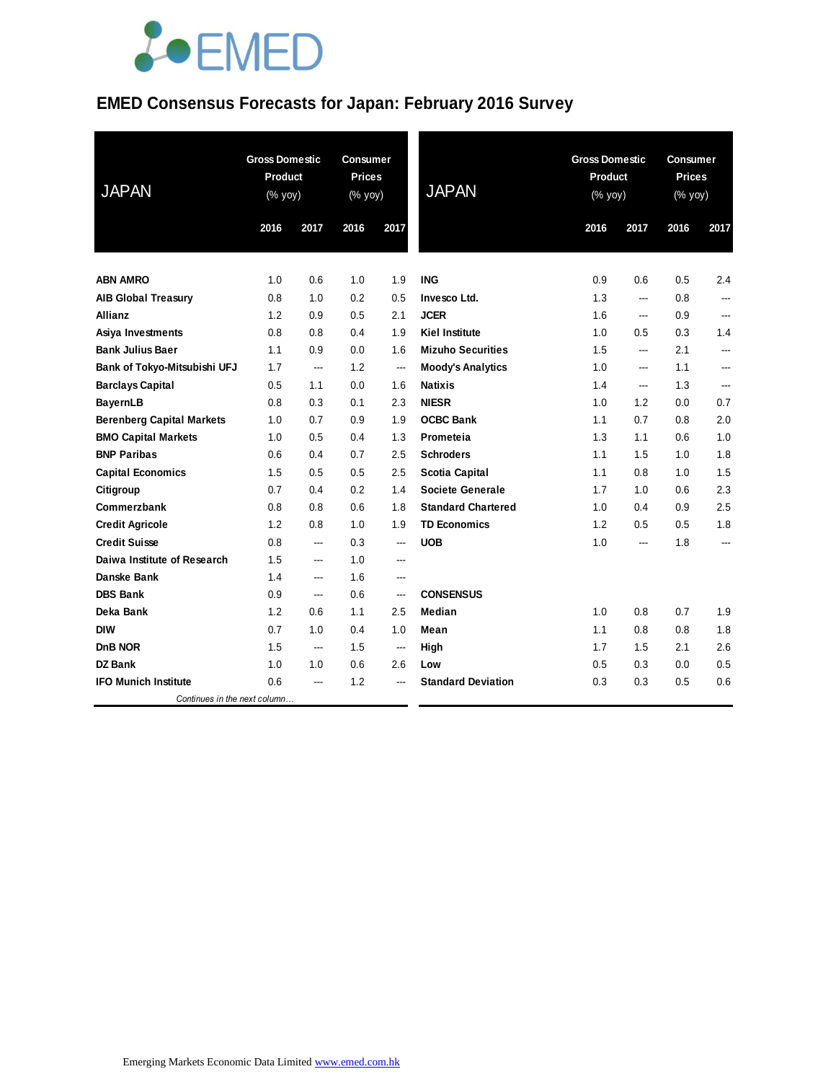# **JOEMED**

### **EMED Consensus Forecasts for Japan: February 2016 Survey**

| <b>JAPAN</b>                     | <b>Gross Domestic</b><br>Product<br>(% yoy) |                          | <b>Consumer</b><br><b>Prices</b><br>(% yoy) |                          | <b>JAPAN</b>              | <b>Gross Domestic</b><br>Product<br>(% yoy) |      | Consumer<br><b>Prices</b><br>(% yoy) |                |
|----------------------------------|---------------------------------------------|--------------------------|---------------------------------------------|--------------------------|---------------------------|---------------------------------------------|------|--------------------------------------|----------------|
|                                  | 2016                                        | 2017                     | 2016                                        | 2017                     |                           | 2016                                        | 2017 | 2016                                 | 2017           |
|                                  |                                             |                          |                                             |                          |                           |                                             |      |                                      |                |
| <b>ABN AMRO</b>                  | 1.0                                         | 0.6                      | 1.0                                         | 1.9                      | <b>ING</b>                | 0.9                                         | 0.6  | 0.5                                  | 2.4            |
| <b>AIB Global Treasury</b>       | 0.8                                         | 1.0                      | 0.2                                         | 0.5                      | Invesco Ltd.              | 1.3                                         | ---  | 0.8                                  | $---$          |
| Allianz                          | 1.2                                         | 0.9                      | 0.5                                         | 2.1                      | <b>JCER</b>               | 1.6                                         | ---  | 0.9                                  |                |
| Asiya Investments                | 0.8                                         | 0.8                      | 0.4                                         | 1.9                      | <b>Kiel Institute</b>     | 1.0                                         | 0.5  | 0.3                                  | 1.4            |
| <b>Bank Julius Baer</b>          | 1.1                                         | 0.9                      | 0.0                                         | 1.6                      | <b>Mizuho Securities</b>  | 1.5                                         | ---  | 2.1                                  | $\overline{a}$ |
| Bank of Tokyo-Mitsubishi UFJ     | 1.7                                         | $\overline{a}$           | 1.2                                         | $\overline{\phantom{a}}$ | <b>Moody's Analytics</b>  | 1.0                                         | ---  | 1.1                                  | ---            |
| <b>Barclays Capital</b>          | 0.5                                         | 1.1                      | 0.0                                         | 1.6                      | <b>Natixis</b>            | 1.4                                         | ---  | 1.3                                  | ---            |
| <b>BayernLB</b>                  | 0.8                                         | 0.3                      | 0.1                                         | 2.3                      | <b>NIESR</b>              | 1.0                                         | 1.2  | 0.0                                  | 0.7            |
| <b>Berenberg Capital Markets</b> | 1.0                                         | 0.7                      | 0.9                                         | 1.9                      | <b>OCBC Bank</b>          | 1.1                                         | 0.7  | 0.8                                  | 2.0            |
| <b>BMO Capital Markets</b>       | 1.0                                         | 0.5                      | 0.4                                         | 1.3                      | Prometeia                 | 1.3                                         | 1.1  | 0.6                                  | 1.0            |
| <b>BNP Paribas</b>               | 0.6                                         | 0.4                      | 0.7                                         | 2.5                      | <b>Schroders</b>          | 1.1                                         | 1.5  | 1.0                                  | 1.8            |
| <b>Capital Economics</b>         | 1.5                                         | 0.5                      | 0.5                                         | 2.5                      | <b>Scotia Capital</b>     | 1.1                                         | 0.8  | 1.0                                  | 1.5            |
| Citigroup                        | 0.7                                         | 0.4                      | 0.2                                         | 1.4                      | <b>Societe Generale</b>   | 1.7                                         | 1.0  | 0.6                                  | 2.3            |
| Commerzbank                      | 0.8                                         | 0.8                      | 0.6                                         | 1.8                      | <b>Standard Chartered</b> | 1.0                                         | 0.4  | 0.9                                  | 2.5            |
| <b>Credit Agricole</b>           | 1.2                                         | 0.8                      | 1.0                                         | 1.9                      | <b>TD Economics</b>       | 1.2                                         | 0.5  | 0.5                                  | 1.8            |
| <b>Credit Suisse</b>             | 0.8                                         | ---                      | 0.3                                         | ---                      | <b>UOB</b>                | 1.0                                         | ---  | 1.8                                  |                |
| Daiwa Institute of Research      | 1.5                                         | ---                      | 1.0                                         | ---                      |                           |                                             |      |                                      |                |
| Danske Bank                      | 1.4                                         | $\overline{\phantom{a}}$ | 1.6                                         | ---                      |                           |                                             |      |                                      |                |
| <b>DBS Bank</b>                  | 0.9                                         | $\overline{\phantom{a}}$ | 0.6                                         | ---                      | <b>CONSENSUS</b>          |                                             |      |                                      |                |
| Deka Bank                        | 1.2                                         | 0.6                      | 1.1                                         | 2.5                      | Median                    | 1.0                                         | 0.8  | 0.7                                  | 1.9            |
| <b>DIW</b>                       | 0.7                                         | 1.0                      | 0.4                                         | 1.0                      | Mean                      | 1.1                                         | 0.8  | 0.8                                  | 1.8            |
| DnB NOR                          | 1.5                                         | ---                      | 1.5                                         | ---                      | High                      | 1.7                                         | 1.5  | 2.1                                  | 2.6            |
| DZ Bank                          | 1.0                                         | 1.0                      | 0.6                                         | 2.6                      | Low                       | 0.5                                         | 0.3  | 0.0                                  | 0.5            |
| <b>IFO Munich Institute</b>      | 0.6                                         | ---                      | 1.2                                         | ---                      | <b>Standard Deviation</b> | 0.3                                         | 0.3  | 0.5                                  | 0.6            |
| Continues in the next column     |                                             |                          |                                             |                          |                           |                                             |      |                                      |                |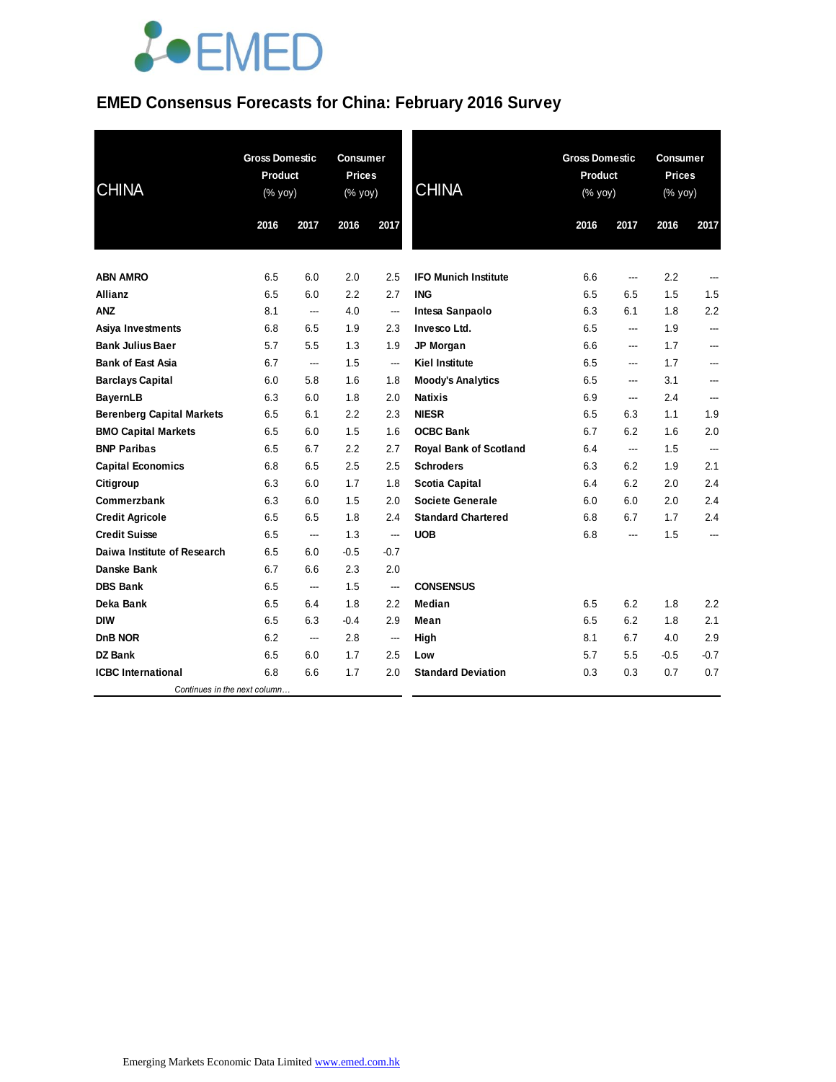

### **EMED Consensus Forecasts for China: February 2016 Survey**

| <b>CHINA</b>                     | <b>Gross Domestic</b><br><b>Product</b><br>(% yoy) |                | <b>Consumer</b><br><b>Prices</b><br>(% yoy) |                          | <b>CHINA</b>                  | <b>Gross Domestic</b><br>Product<br>(% yoy) |                          | <b>Consumer</b><br><b>Prices</b><br>(% yoy) |                          |
|----------------------------------|----------------------------------------------------|----------------|---------------------------------------------|--------------------------|-------------------------------|---------------------------------------------|--------------------------|---------------------------------------------|--------------------------|
|                                  | 2016                                               | 2017           | 2016                                        | 2017                     |                               | 2016                                        | 2017                     | 2016                                        | 2017                     |
|                                  |                                                    |                |                                             |                          |                               |                                             |                          |                                             |                          |
| <b>ABN AMRO</b>                  | 6.5                                                | 6.0            | 2.0                                         | 2.5                      | <b>IFO Munich Institute</b>   | 6.6                                         | ---                      | 2.2                                         | ---                      |
| Allianz                          | 6.5                                                | 6.0            | 2.2                                         | 2.7                      | <b>ING</b>                    | 6.5                                         | 6.5                      | 1.5                                         | 1.5                      |
| <b>ANZ</b>                       | 8.1                                                | ---            | 4.0                                         | ---                      | Intesa Sanpaolo               | 6.3                                         | 6.1                      | 1.8                                         | 2.2                      |
| Asiya Investments                | 6.8                                                | 6.5            | 1.9                                         | 2.3                      | Invesco Ltd.                  | 6.5                                         | ---                      | 1.9                                         | ---                      |
| <b>Bank Julius Baer</b>          | 5.7                                                | 5.5            | 1.3                                         | 1.9                      | JP Morgan                     | 6.6                                         | ---                      | 1.7                                         | ---                      |
| <b>Bank of East Asia</b>         | 6.7                                                | $\overline{a}$ | 1.5                                         | ---                      | <b>Kiel Institute</b>         | 6.5                                         | ---                      | 1.7                                         | ---                      |
| <b>Barclays Capital</b>          | 6.0                                                | 5.8            | 1.6                                         | 1.8                      | <b>Moody's Analytics</b>      | 6.5                                         | ---                      | 3.1                                         | ---                      |
| <b>BayernLB</b>                  | 6.3                                                | 6.0            | 1.8                                         | 2.0                      | <b>Natixis</b>                | 6.9                                         | ---                      | 2.4                                         | ---                      |
| <b>Berenberg Capital Markets</b> | 6.5                                                | 6.1            | 2.2                                         | 2.3                      | <b>NIESR</b>                  | 6.5                                         | 6.3                      | 1.1                                         | 1.9                      |
| <b>BMO Capital Markets</b>       | 6.5                                                | 6.0            | 1.5                                         | 1.6                      | <b>OCBC Bank</b>              | 6.7                                         | 6.2                      | 1.6                                         | 2.0                      |
| <b>BNP Paribas</b>               | 6.5                                                | 6.7            | 2.2                                         | 2.7                      | <b>Royal Bank of Scotland</b> | 6.4                                         | ---                      | 1.5                                         | ---                      |
| <b>Capital Economics</b>         | 6.8                                                | 6.5            | 2.5                                         | 2.5                      | <b>Schroders</b>              | 6.3                                         | 6.2                      | 1.9                                         | 2.1                      |
| Citigroup                        | 6.3                                                | 6.0            | 1.7                                         | 1.8                      | <b>Scotia Capital</b>         | 6.4                                         | 6.2                      | 2.0                                         | 2.4                      |
| Commerzbank                      | 6.3                                                | 6.0            | 1.5                                         | 2.0                      | <b>Societe Generale</b>       | 6.0                                         | 6.0                      | 2.0                                         | 2.4                      |
| <b>Credit Agricole</b>           | 6.5                                                | 6.5            | 1.8                                         | 2.4                      | <b>Standard Chartered</b>     | 6.8                                         | 6.7                      | 1.7                                         | 2.4                      |
| <b>Credit Suisse</b>             | 6.5                                                | ---            | 1.3                                         | $\overline{\phantom{a}}$ | <b>UOB</b>                    | 6.8                                         | $\overline{\phantom{a}}$ | 1.5                                         | $\overline{\phantom{a}}$ |
| Daiwa Institute of Research      | 6.5                                                | 6.0            | $-0.5$                                      | $-0.7$                   |                               |                                             |                          |                                             |                          |
| Danske Bank                      | 6.7                                                | 6.6            | 2.3                                         | 2.0                      |                               |                                             |                          |                                             |                          |
| <b>DBS Bank</b>                  | 6.5                                                | ---            | 1.5                                         | ---                      | <b>CONSENSUS</b>              |                                             |                          |                                             |                          |
| Deka Bank                        | 6.5                                                | 6.4            | 1.8                                         | 2.2                      | Median                        | 6.5                                         | 6.2                      | 1.8                                         | 2.2                      |
| <b>DIW</b>                       | 6.5                                                | 6.3            | $-0.4$                                      | 2.9                      | Mean                          | 6.5                                         | 6.2                      | 1.8                                         | 2.1                      |
| DnB NOR                          | 6.2                                                | ---            | 2.8                                         | ---                      | High                          | 8.1                                         | 6.7                      | 4.0                                         | 2.9                      |
| <b>DZ Bank</b>                   | 6.5                                                | 6.0            | 1.7                                         | 2.5                      | Low                           | 5.7                                         | 5.5                      | $-0.5$                                      | $-0.7$                   |
| <b>ICBC</b> International        | 6.8                                                | 6.6            | 1.7                                         | 2.0                      | <b>Standard Deviation</b>     | 0.3                                         | 0.3                      | 0.7                                         | 0.7                      |
| Continues in the next column     |                                                    |                |                                             |                          |                               |                                             |                          |                                             |                          |